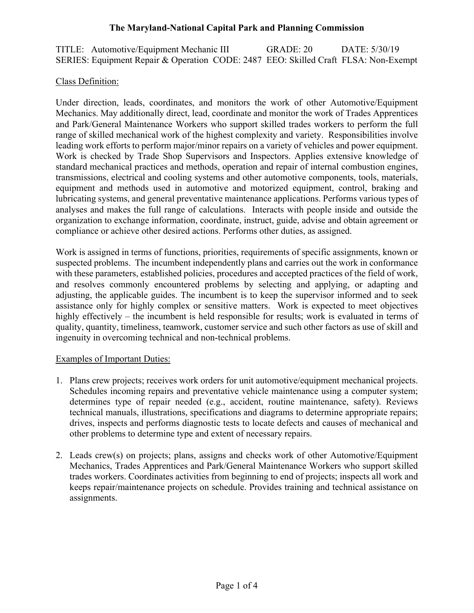TITLE: Automotive/Equipment Mechanic III GRADE: 20 DATE: 5/30/19 SERIES: Equipment Repair & Operation CODE: 2487 EEO: Skilled Craft FLSA: Non-Exempt

### Class Definition:

Under direction, leads, coordinates, and monitors the work of other Automotive/Equipment Mechanics. May additionally direct, lead, coordinate and monitor the work of Trades Apprentices and Park/General Maintenance Workers who support skilled trades workers to perform the full range of skilled mechanical work of the highest complexity and variety. Responsibilities involve leading work efforts to perform major/minor repairs on a variety of vehicles and power equipment. Work is checked by Trade Shop Supervisors and Inspectors. Applies extensive knowledge of standard mechanical practices and methods, operation and repair of internal combustion engines, transmissions, electrical and cooling systems and other automotive components, tools, materials, equipment and methods used in automotive and motorized equipment, control, braking and lubricating systems, and general preventative maintenance applications. Performs various types of analyses and makes the full range of calculations. Interacts with people inside and outside the organization to exchange information, coordinate, instruct, guide, advise and obtain agreement or compliance or achieve other desired actions. Performs other duties, as assigned.

Work is assigned in terms of functions, priorities, requirements of specific assignments, known or suspected problems. The incumbent independently plans and carries out the work in conformance with these parameters, established policies, procedures and accepted practices of the field of work, and resolves commonly encountered problems by selecting and applying, or adapting and adjusting, the applicable guides. The incumbent is to keep the supervisor informed and to seek assistance only for highly complex or sensitive matters. Work is expected to meet objectives highly effectively – the incumbent is held responsible for results; work is evaluated in terms of quality, quantity, timeliness, teamwork, customer service and such other factors as use of skill and ingenuity in overcoming technical and non-technical problems.

#### Examples of Important Duties:

- 1. Plans crew projects; receives work orders for unit automotive/equipment mechanical projects. Schedules incoming repairs and preventative vehicle maintenance using a computer system; determines type of repair needed (e.g., accident, routine maintenance, safety). Reviews technical manuals, illustrations, specifications and diagrams to determine appropriate repairs; drives, inspects and performs diagnostic tests to locate defects and causes of mechanical and other problems to determine type and extent of necessary repairs.
- 2. Leads crew(s) on projects; plans, assigns and checks work of other Automotive/Equipment Mechanics, Trades Apprentices and Park/General Maintenance Workers who support skilled trades workers. Coordinates activities from beginning to end of projects; inspects all work and keeps repair/maintenance projects on schedule. Provides training and technical assistance on assignments.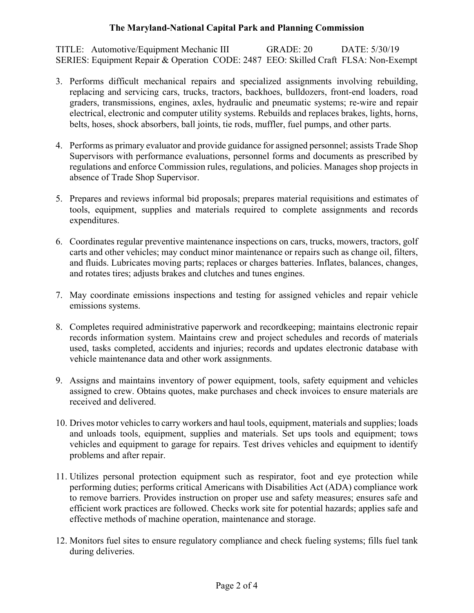TITLE: Automotive/Equipment Mechanic III GRADE: 20 DATE: 5/30/19 SERIES: Equipment Repair & Operation CODE: 2487 EEO: Skilled Craft FLSA: Non-Exempt

- 3. Performs difficult mechanical repairs and specialized assignments involving rebuilding, replacing and servicing cars, trucks, tractors, backhoes, bulldozers, front-end loaders, road graders, transmissions, engines, axles, hydraulic and pneumatic systems; re-wire and repair electrical, electronic and computer utility systems. Rebuilds and replaces brakes, lights, horns, belts, hoses, shock absorbers, ball joints, tie rods, muffler, fuel pumps, and other parts.
- 4. Performs as primary evaluator and provide guidance for assigned personnel; assists Trade Shop Supervisors with performance evaluations, personnel forms and documents as prescribed by regulations and enforce Commission rules, regulations, and policies. Manages shop projects in absence of Trade Shop Supervisor.
- 5. Prepares and reviews informal bid proposals; prepares material requisitions and estimates of tools, equipment, supplies and materials required to complete assignments and records expenditures.
- 6. Coordinates regular preventive maintenance inspections on cars, trucks, mowers, tractors, golf carts and other vehicles; may conduct minor maintenance or repairs such as change oil, filters, and fluids. Lubricates moving parts; replaces or charges batteries. Inflates, balances, changes, and rotates tires; adjusts brakes and clutches and tunes engines.
- 7. May coordinate emissions inspections and testing for assigned vehicles and repair vehicle emissions systems.
- 8. Completes required administrative paperwork and recordkeeping; maintains electronic repair records information system. Maintains crew and project schedules and records of materials used, tasks completed, accidents and injuries; records and updates electronic database with vehicle maintenance data and other work assignments.
- 9. Assigns and maintains inventory of power equipment, tools, safety equipment and vehicles assigned to crew. Obtains quotes, make purchases and check invoices to ensure materials are received and delivered.
- 10. Drives motor vehicles to carry workers and haul tools, equipment, materials and supplies; loads and unloads tools, equipment, supplies and materials. Set ups tools and equipment; tows vehicles and equipment to garage for repairs. Test drives vehicles and equipment to identify problems and after repair.
- 11. Utilizes personal protection equipment such as respirator, foot and eye protection while performing duties; performs critical Americans with Disabilities Act (ADA) compliance work to remove barriers. Provides instruction on proper use and safety measures; ensures safe and efficient work practices are followed. Checks work site for potential hazards; applies safe and effective methods of machine operation, maintenance and storage.
- 12. Monitors fuel sites to ensure regulatory compliance and check fueling systems; fills fuel tank during deliveries.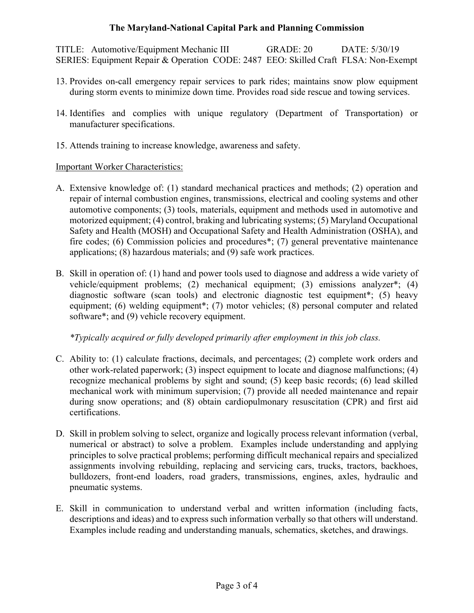TITLE: Automotive/Equipment Mechanic III GRADE: 20 DATE: 5/30/19 SERIES: Equipment Repair & Operation CODE: 2487 EEO: Skilled Craft FLSA: Non-Exempt

- 13. Provides on-call emergency repair services to park rides; maintains snow plow equipment during storm events to minimize down time. Provides road side rescue and towing services.
- 14. Identifies and complies with unique regulatory (Department of Transportation) or manufacturer specifications.
- 15. Attends training to increase knowledge, awareness and safety.

Important Worker Characteristics:

- A. Extensive knowledge of: (1) standard mechanical practices and methods; (2) operation and repair of internal combustion engines, transmissions, electrical and cooling systems and other automotive components; (3) tools, materials, equipment and methods used in automotive and motorized equipment; (4) control, braking and lubricating systems; (5) Maryland Occupational Safety and Health (MOSH) and Occupational Safety and Health Administration (OSHA), and fire codes; (6) Commission policies and procedures\*; (7) general preventative maintenance applications; (8) hazardous materials; and (9) safe work practices.
- B. Skill in operation of: (1) hand and power tools used to diagnose and address a wide variety of vehicle/equipment problems; (2) mechanical equipment; (3) emissions analyzer\*; (4) diagnostic software (scan tools) and electronic diagnostic test equipment\*; (5) heavy equipment; (6) welding equipment\*; (7) motor vehicles; (8) personal computer and related software\*; and (9) vehicle recovery equipment.

*\*Typically acquired or fully developed primarily after employment in this job class.*

- C. Ability to: (1) calculate fractions, decimals, and percentages; (2) complete work orders and other work-related paperwork; (3) inspect equipment to locate and diagnose malfunctions; (4) recognize mechanical problems by sight and sound; (5) keep basic records; (6) lead skilled mechanical work with minimum supervision; (7) provide all needed maintenance and repair during snow operations; and (8) obtain cardiopulmonary resuscitation (CPR) and first aid certifications.
- D. Skill in problem solving to select, organize and logically process relevant information (verbal, numerical or abstract) to solve a problem. Examples include understanding and applying principles to solve practical problems; performing difficult mechanical repairs and specialized assignments involving rebuilding, replacing and servicing cars, trucks, tractors, backhoes, bulldozers, front-end loaders, road graders, transmissions, engines, axles, hydraulic and pneumatic systems.
- E. Skill in communication to understand verbal and written information (including facts, descriptions and ideas) and to express such information verbally so that others will understand. Examples include reading and understanding manuals, schematics, sketches, and drawings.